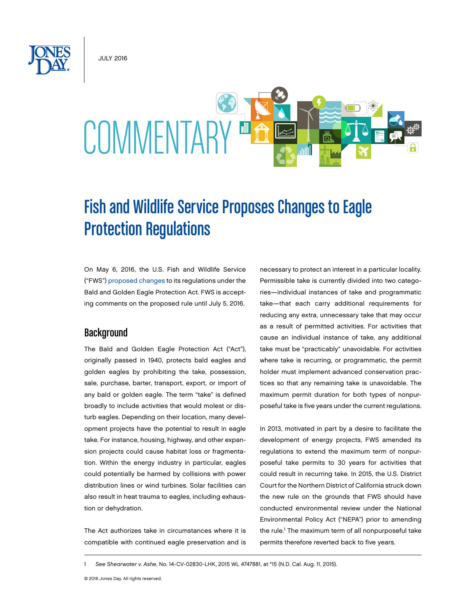JULY 2016



# Fish and Wildlife Service Proposes Changes to Eagle Protection Regulations

On May 6, 2016, the U.S. Fish and Wildlife Service ("FWS") [proposed changes](https://www.gpo.gov/fdsys/pkg/FR-2016-05-06/pdf/2016-10542.pdf) to its regulations under the Bald and Golden Eagle Protection Act. FWS is accepting comments on the proposed rule until July 5, 2016.

#### **Background**

The Bald and Golden Eagle Protection Act ("Act"), originally passed in 1940, protects bald eagles and golden eagles by prohibiting the take, possession, sale, purchase, barter, transport, export, or import of any bald or golden eagle. The term "take" is defined broadly to include activities that would molest or disturb eagles. Depending on their location, many development projects have the potential to result in eagle take. For instance, housing, highway, and other expansion projects could cause habitat loss or fragmentation. Within the energy industry in particular, eagles could potentially be harmed by collisions with power distribution lines or wind turbines. Solar facilities can also result in heat trauma to eagles, including exhaustion or dehydration.

The Act authorizes take in circumstances where it is compatible with continued eagle preservation and is

necessary to protect an interest in a particular locality. Permissible take is currently divided into two categories—individual instances of take and programmatic take—that each carry additional requirements for reducing any extra, unnecessary take that may occur as a result of permitted activities. For activities that cause an individual instance of take, any additional take must be "practicably" unavoidable. For activities where take is recurring, or programmatic, the permit holder must implement advanced conservation practices so that any remaining take is unavoidable. The maximum permit duration for both types of nonpurposeful take is five years under the current regulations.

In 2013, motivated in part by a desire to facilitate the development of energy projects, FWS amended its regulations to extend the maximum term of nonpurposeful take permits to 30 years for activities that could result in recurring take. In 2015, the U.S. District Court for the Northern District of California struck down the new rule on the grounds that FWS should have conducted environmental review under the National Environmental Policy Act ("NEPA") prior to amending the rule.<sup>1</sup> The maximum term of all nonpurposeful take permits therefore reverted back to five years.

1 *See Shearwater v. Ashe*, No. 14-CV-02830-LHK, 2015 WL 4747881, at \*15 (N.D. Cal. Aug. 11, 2015).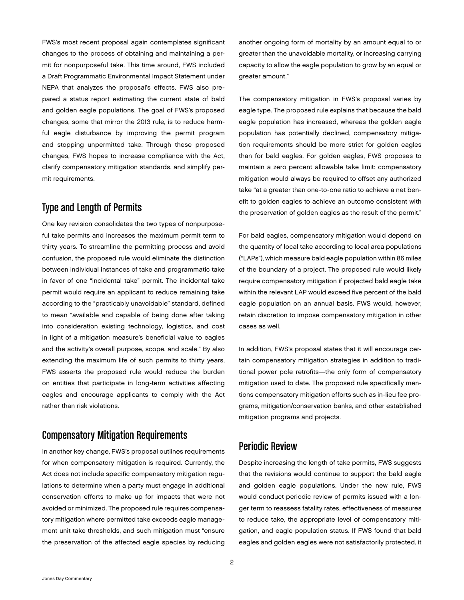FWS's most recent proposal again contemplates significant changes to the process of obtaining and maintaining a permit for nonpurposeful take. This time around, FWS included a Draft Programmatic Environmental Impact Statement under NEPA that analyzes the proposal's effects. FWS also prepared a status report estimating the current state of bald and golden eagle populations. The goal of FWS's proposed changes, some that mirror the 2013 rule, is to reduce harmful eagle disturbance by improving the permit program and stopping unpermitted take. Through these proposed changes, FWS hopes to increase compliance with the Act, clarify compensatory mitigation standards, and simplify permit requirements.

# Type and Length of Permits

One key revision consolidates the two types of nonpurposeful take permits and increases the maximum permit term to thirty years. To streamline the permitting process and avoid confusion, the proposed rule would eliminate the distinction between individual instances of take and programmatic take in favor of one "incidental take" permit. The incidental take permit would require an applicant to reduce remaining take according to the "practicably unavoidable" standard, defined to mean "available and capable of being done after taking into consideration existing technology, logistics, and cost in light of a mitigation measure's beneficial value to eagles and the activity's overall purpose, scope, and scale." By also extending the maximum life of such permits to thirty years, FWS asserts the proposed rule would reduce the burden on entities that participate in long-term activities affecting eagles and encourage applicants to comply with the Act rather than risk violations.

# Compensatory Mitigation Requirements

In another key change, FWS's proposal outlines requirements for when compensatory mitigation is required. Currently, the Act does not include specific compensatory mitigation regulations to determine when a party must engage in additional conservation efforts to make up for impacts that were not avoided or minimized. The proposed rule requires compensatory mitigation where permitted take exceeds eagle management unit take thresholds, and such mitigation must "ensure the preservation of the affected eagle species by reducing

another ongoing form of mortality by an amount equal to or greater than the unavoidable mortality, or increasing carrying capacity to allow the eagle population to grow by an equal or greater amount."

The compensatory mitigation in FWS's proposal varies by eagle type. The proposed rule explains that because the bald eagle population has increased, whereas the golden eagle population has potentially declined, compensatory mitigation requirements should be more strict for golden eagles than for bald eagles. For golden eagles, FWS proposes to maintain a zero percent allowable take limit: compensatory mitigation would always be required to offset any authorized take "at a greater than one-to-one ratio to achieve a net benefit to golden eagles to achieve an outcome consistent with the preservation of golden eagles as the result of the permit."

For bald eagles, compensatory mitigation would depend on the quantity of local take according to local area populations ("LAPs"), which measure bald eagle population within 86 miles of the boundary of a project. The proposed rule would likely require compensatory mitigation if projected bald eagle take within the relevant LAP would exceed five percent of the bald eagle population on an annual basis. FWS would, however, retain discretion to impose compensatory mitigation in other cases as well.

In addition, FWS's proposal states that it will encourage certain compensatory mitigation strategies in addition to traditional power pole retrofits—the only form of compensatory mitigation used to date. The proposed rule specifically mentions compensatory mitigation efforts such as in-lieu fee programs, mitigation/conservation banks, and other established mitigation programs and projects.

# Periodic Review

Despite increasing the length of take permits, FWS suggests that the revisions would continue to support the bald eagle and golden eagle populations. Under the new rule, FWS would conduct periodic review of permits issued with a longer term to reassess fatality rates, effectiveness of measures to reduce take, the appropriate level of compensatory mitigation, and eagle population status. If FWS found that bald eagles and golden eagles were not satisfactorily protected, it